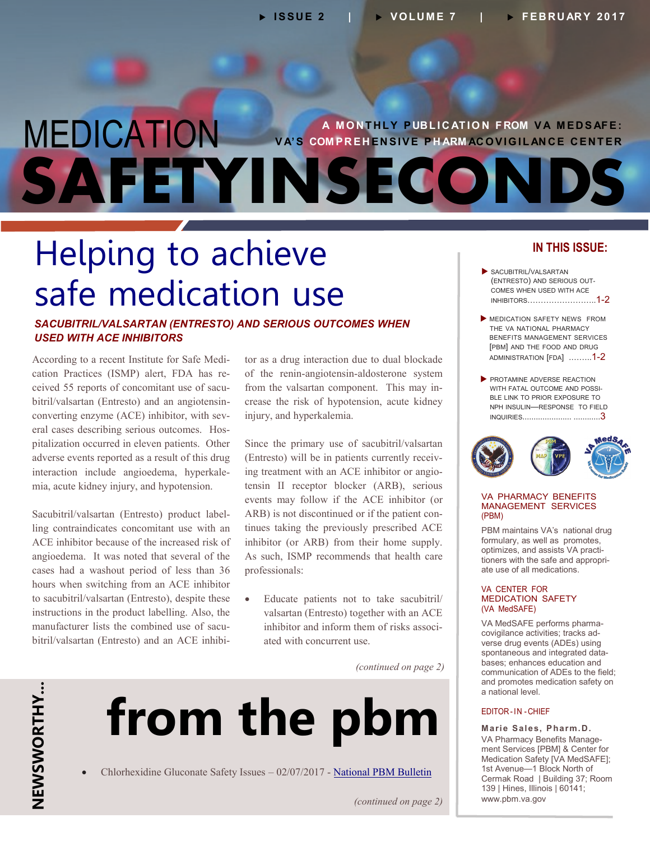## **A M O N T H L Y P UB L I C AT I O N F ROM V A M E D S AF E : V A' S COM P R E H E N S I V E P H ARM AC O V I G I L AN C E C E N T E R** MEDICATION **SAFETYINSECOND**

# Helping to achieve safe medication use

### *SACUBITRIL/VALSARTAN (ENTRESTO) AND SERIOUS OUTCOMES WHEN USED WITH ACE INHIBITORS*

According to a recent Institute for Safe Medi cation Practices (ISMP) alert, FDA has re ceived 55 reports of concomitant use of sacu bitril/valsartan (Entresto) and an angiotensin converting enzyme (ACE) inhibitor, with sev eral cases describing serious outcomes. Hos pitalization occurred in eleven patients. Other adverse events reported as a result of this drug interaction include angioedema, hyperkale mia, acute kidney injury, and hypotension.

Sacubitril/valsartan (Entresto) product label ling contraindicates concomitant use with an ACE inhibitor because of the increased risk of angioedema. It was noted that several of the cases had a washout period of less than 36 hours when switching from an ACE inhibitor to sacubitril/valsartan (Entresto), despite these instructions in the product labelling. Also, the manufacturer lists the combined use of sacu bitril/valsartan (Entresto) and an ACE inhibi -

tor as a drug interaction due to dual blockade of the renin-angiotensin-aldosterone system from the valsartan component. This may increase the risk of hypotension, acute kidney injury, and hyperkalemia.

Since the primary use of sacubitril/valsartan (Entresto) will be in patients currently receiv ing treatment with an ACE inhibitor or angio tensin II receptor blocker (ARB), serious events may follow if the ACE inhibitor (or ARB) is not discontinued or if the patient con tinues taking the previously prescribed ACE inhibitor (or ARB) from their home supply. As such, ISMP recommends that health care professionals:

 Educate patients not to take sacubitril/ valsartan (Entresto) together with an ACE inhibitor and inform them of risks associ ated with concurrent use.

 *(continued on page 2)* 

# **from the pbm**

Chlorhexidine Gluconate Safety Issues – 02/07/2017 - [National PBM Bulletin](https://www.pbm.va.gov/PBM/vacenterformedicationsafety/nationalpbmbulletin/CHLORHEXIDINE%20GLUCONATE%20SAFETY_NATIONAL%20PBM%20BULLETIN_020717_FINAL_with%20disclaimer.pdf)

### **IN THIS ISSUE:**

- SACUBITRIL/VALSARTAN (ENTRESTO) AND SERIOUS OUT - COMES WHEN USED WITH ACE INHIBITORS……………………..1-2
- **MEDICATION SAFETY NEWS FROM** THE VA NATIONAL PHARMACY BENEFITS MANAGEMENT SERVICES [PBM] AND THE FOOD AND DRUG ADMINISTRATION [FDA] .……..1-2
- PROTAMINE ADVERSE REACTION WITH FATAL OUTCOME AND POSSI - BLE LINK TO PRIOR EXPOSURE TO NPH INSULIN—RESPONSE TO FIELD [INQUIRIES...................... ............3](#page-2-0)



### VA PHARMACY BENEFITS MANAGEMENT SERVICES (PBM)

PBM maintains VA's national drug formulary, as well as promotes, optimizes, and assists VA practi tioners with the safe and appropri ate use of all medications.

### VA CENTER FOR MEDICATION SAFETY (VA MedSAFE)

VA MedSAFE performs pharma covigilance activities; tracks ad verse drug events (ADEs) using spontaneous and integrated data bases; enhances education and communication of ADEs to the field; and promotes medication safety on a national level.

### EDITOR -I N -CHIEF

**Marie Sales, Pharm .D.**  VA Pharmacy Benefits Manage ment Services [PBM] & Center for Medication Safety [VA MedSAFE]; 1st Avenue—1 Block North of Cermak Road | Building 37; Room 139 | Hines, Illinois | 60141; www.pbm.va.gov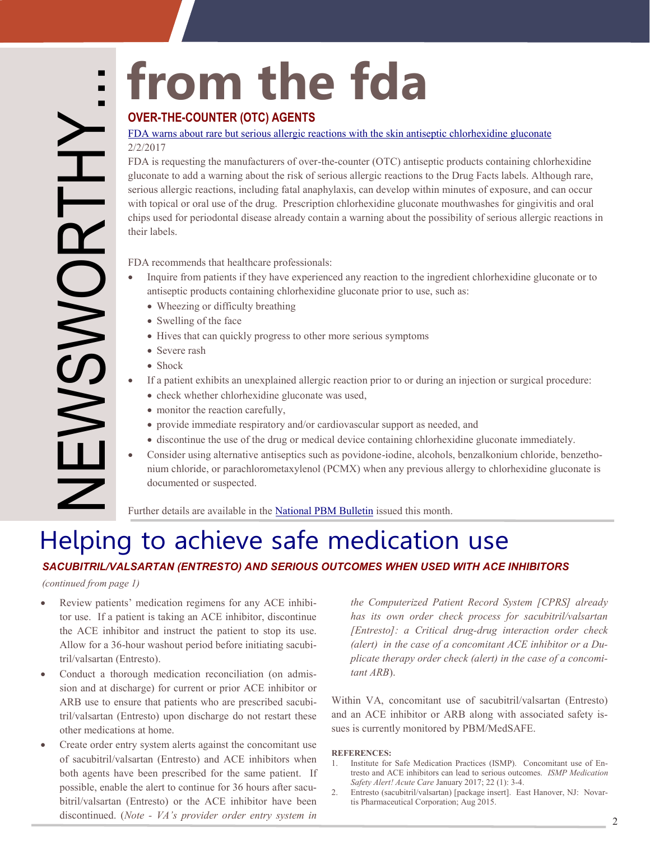### [FDA warns about rare but serious allergic reactions with the skin antiseptic chlorhexidine gluconate](https://www.fda.gov/Drugs/DrugSafety/ucm530975.htm)  2/2/2017

**Starting the manufactures of over-the-counter (OTC) antiseption**<br> **EDA wanns about rare but serious allergic reactions with the skin antiseption and the fit of the counter to the data warming about the risk of serious all** FDA is requesting the manufacturers of over-the-counter (OTC) antiseptic products containing chlorhexidine gluconate to add a warning about the risk of serious allergic reactions to the Drug Facts labels. Although rare, serious allergic reactions, including fatal anaphylaxis, can develop within minutes of exposure, and can occur with topical or oral use of the drug. Prescription chlorhexidine gluconate mouthwashes for gingivitis and oral chips used for periodontal disease already contain a warning about the possibility of serious allergic reactions in their labels.

FDA recommends that healthcare professionals:

- Inquire from patients if they have experienced any reaction to the ingredient chlorhexidine gluconate or to antiseptic products containing chlorhexidine gluconate prior to use, such as:
	- Wheezing or difficulty breathing
	- Swelling of the face
	- Hives that can quickly progress to other more serious symptoms
	- Severe rash
	- Shock
- If a patient exhibits an unexplained allergic reaction prior to or during an injection or surgical procedure:  $\bullet$ 
	- check whether chlorhexidine gluconate was used,
	- monitor the reaction carefully,
	- provide immediate respiratory and/or cardiovascular support as needed, and
	- discontinue the use of the drug or medical device containing chlorhexidine gluconate immediately.
- Consider using alternative antiseptics such as povidone-iodine, alcohols, benzalkonium chloride, benzethonium chloride, or parachlorometaxylenol (PCMX) when any previous allergy to chlorhexidine gluconate is documented or suspected.

Further details are available in the [National PBM Bulletin i](https://www.pbm.va.gov/PBM/vacenterformedicationsafety/nationalpbmbulletin/CHLORHEXIDINE%20GLUCONATE%20SAFETY_NATIONAL%20PBM%20BULLETIN_020717_FINAL_with%20disclaimer.pdf)ssued this month.

# Helping to achieve safe medication use

### *SACUBITRIL/VALSARTAN (ENTRESTO) AND SERIOUS OUTCOMES WHEN USED WITH ACE INHIBITORS*

*(continued from page 1)* 

- $\bullet$ Review patients' medication regimens for any ACE inhibi tor use. If a patient is taking an ACE inhibitor, discontinue the ACE inhibitor and instruct the patient to stop its use. Allow for a 36-hour washout period before initiating sacubi tril/valsartan (Entresto).
- Conduct a thorough medication reconciliation (on admission and at discharge) for current or prior ACE inhibitor or ARB use to ensure that patients who are prescribed sacubi tril/valsartan (Entresto) upon discharge do not restart these other medications at home.
- Create order entry system alerts against the concomitant use of sacubitril/valsartan (Entresto) and ACE inhibitors when both agents have been prescribed for the same patient. If possible, enable the alert to continue for 36 hours after sacu bitril/valsartan (Entresto) or the ACE inhibitor have been discontinued. (*Note - VA's provider order entry system in*

*the Computerized Patient Record System [CPRS] already has its own order check process for sacubitril/valsartan [Entresto]: a Critical drug-drug interaction order check (alert) in the case of a concomitant ACE inhibitor or a Du plicate therapy order check (alert) in the case of a concomi tant ARB*).

and an ACE inhibitor or ARB along with associated safety is-Within VA, concomitant use of sacubitril/valsartan (Entresto) sues is currently monitored by PBM/MedSAFE.

### **REFERENCES:**

- 1. 1. Institute for Safe Medication Practices (ISMP). Concomitant use of Entresto and ACE inhibitors can lead to serious outcomes. *ISMP Medication Safety Alert! Acute Care* January 2017; 22 (1): 3-4.
- $2<sup>1</sup>$ - 2. Entresto (sacubitril/valsartan) [package insert]. East Hanover, NJ: Novar tis Pharmaceutical Corporation; Aug 2015.